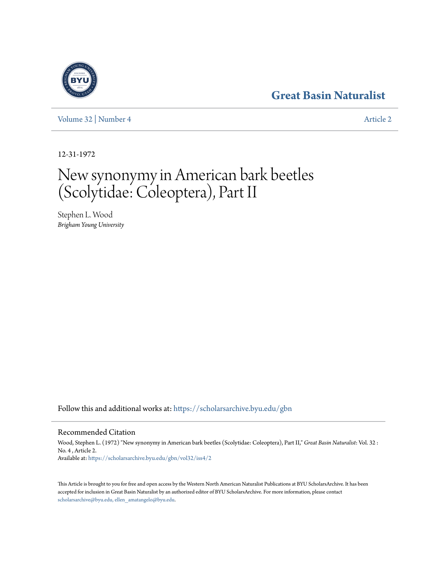## **[Great Basin Naturalist](https://scholarsarchive.byu.edu/gbn?utm_source=scholarsarchive.byu.edu%2Fgbn%2Fvol32%2Fiss4%2F2&utm_medium=PDF&utm_campaign=PDFCoverPages)**

[Volume 32](https://scholarsarchive.byu.edu/gbn/vol32?utm_source=scholarsarchive.byu.edu%2Fgbn%2Fvol32%2Fiss4%2F2&utm_medium=PDF&utm_campaign=PDFCoverPages) | [Number 4](https://scholarsarchive.byu.edu/gbn/vol32/iss4?utm_source=scholarsarchive.byu.edu%2Fgbn%2Fvol32%2Fiss4%2F2&utm_medium=PDF&utm_campaign=PDFCoverPages) [Article 2](https://scholarsarchive.byu.edu/gbn/vol32/iss4/2?utm_source=scholarsarchive.byu.edu%2Fgbn%2Fvol32%2Fiss4%2F2&utm_medium=PDF&utm_campaign=PDFCoverPages)

12-31-1972

# New synonymy in American bark beetles (Scolytidae: Coleoptera), Part II

Stephen L. Wood *Brigham Young University*

Follow this and additional works at: [https://scholarsarchive.byu.edu/gbn](https://scholarsarchive.byu.edu/gbn?utm_source=scholarsarchive.byu.edu%2Fgbn%2Fvol32%2Fiss4%2F2&utm_medium=PDF&utm_campaign=PDFCoverPages)

### Recommended Citation

Wood, Stephen L. (1972) "New synonymy in American bark beetles (Scolytidae: Coleoptera), Part II," *Great Basin Naturalist*: Vol. 32 : No. 4 , Article 2. Available at: [https://scholarsarchive.byu.edu/gbn/vol32/iss4/2](https://scholarsarchive.byu.edu/gbn/vol32/iss4/2?utm_source=scholarsarchive.byu.edu%2Fgbn%2Fvol32%2Fiss4%2F2&utm_medium=PDF&utm_campaign=PDFCoverPages)

This Article is brought to you for free and open access by the Western North American Naturalist Publications at BYU ScholarsArchive. It has been accepted for inclusion in Great Basin Naturalist by an authorized editor of BYU ScholarsArchive. For more information, please contact [scholarsarchive@byu.edu, ellen\\_amatangelo@byu.edu.](mailto:scholarsarchive@byu.edu,%20ellen_amatangelo@byu.edu)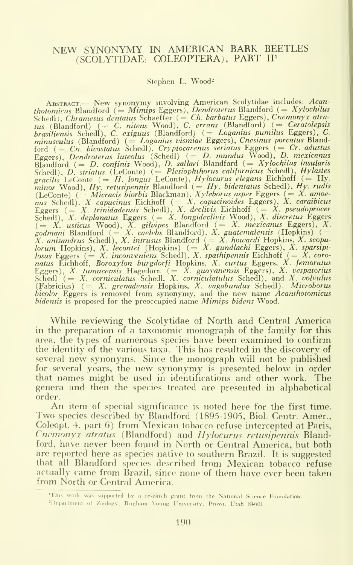#### NEW SYNONYMY IN AMERICAN BARK BEETLES (SCOLYTIDAE: COLEOPTERA), PART II<sup>1</sup>

#### Stephen L. Wood<sup>2</sup>

ABSTRACT.— New synonymy involving American Scolytidae includes: Acan-<br>thotomicus Blandford (=  $M$ imips Eggers), Dendroterus Blandford (=  $X$ ylochilus thoiomicus Blandford (= Mimips Eggers), Dendroterus Blandford (= Xplochilus Scheell), Chramesus dentatus Scheelffer (= C. hieras Wood), C. errans (Blandford) (= Centolepsis Institutes Scheell), C. ergius (Blandford) (= Ce

While reviewing the Scolytidae of North and Central America in the preparation of a taxonomic monograph of the family for this area, the types of numerous species have been examined to confirm the identity of the various taxa. This has resulted in the discovery of several new synonyms. Since the monograph will not be published for several years, the new synonymy is presented below in order that names might be used in identifications and other work. The genera and then the species treated are presented in alphabetical order.

An item of special significance is noted here for the first time. Two species described by Blandford (1895-1905. Biol. Centr. Amer., Coleopt. 4, part 6) from Mexican tobacco refuse intercepted at Paris, Cnemonyx atratus (Blandford) and Hylocurus retusipennis Blandford, have never been found in North or Central America, but both are reported here as species native to southern Brazil. It is suggested that all Blandford species described from Mexican tobacco refuse actually came from Brazil, since none of them have ever been taken from North or Central America.

<sup>&#</sup>x27;This work was supported by a research grant from the National Science Foundation.

<sup>&</sup>lt;sup>2</sup>Department of Zoology. Brigham Young University. Provo. Utah 84601.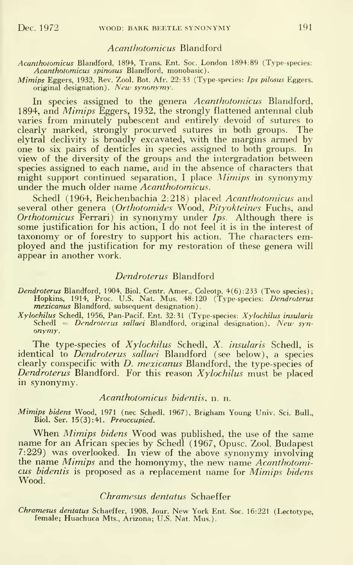#### Acanthotomicus Blandford

Acanthotomicus Blandford, 1894, Trans. Ent. Soc. London 1894:89 (Type-species: Acanthotomicus spinosus Blandford, monobasic).

Mimips Eggers, 1932, Rev. Zool. Bot. Afr. 22:33 (Type-species: *Ips pilosus* Eggers, and the original designation). *New synonymy*.

In species assigned to the genera Acanthotomicus Blandford, 1894, and *Mimips* Eggers, 1932, the strongly flattened antennal club varies from minutely pubescent and entirely devoid of sutures to clearly marked, strongly procurved sutures in both groups. The elytral declivity is broadly excavated, with the margins armed by one to six pairs of denticles in species assigned to both groups. In view of the diversity of the groups and the intergradation between species assigned to each name, and in the absence of characters that might support continued separation, I place Mimips in synonymy under the much older name Acanthotomicus.

Schedl (1964, Reichenbachia 2:218) placed Acanthotomicus and several other genera (Orthotomides Wood, Pityokteines Fuchs, and Orthotomicus Ferrari) in synonymy under Ips. Although there is some justification for his action, I do not feel it is in the interest of taxonomy or of forestry to support his action. The characters employed and the justification for my restoration of these genera will appear in another work.

#### Dendroterus Blandford

- Dendroterus Blandford, 1904, Biol. Centr. Amer., Coleotp. 4(6):233 (Two species); Hopkins, 1914, Proc. U.S. Nat. Mus. 48:120 (Type-species: Dendroterus mexicanus Blandford, subsequent designation).
- Xylochilus Schedl, 1956, Pan-Pacif. Ent. 32:31 (Type-species: Xylochilus insularis Schedl = *Dendroterus sallaei* Blandford, original designation). New syn-<br>onymy.

The type-species of Xylochilus Schedl, X. insularis Schedl, is identical to Dendroterus sallaei Blandford (see below), a species clearly conspecific with *D. mexicanus* Blandford, the type-species of  $Dendroterus$  Blandford. For this reason  $Xylochilus$  must be placed in synonymy.

#### Acanthotomicus bidentis, n. n.

Mimips bidens Wood, 1971 (nee Schedl. 1967). Brigham Young Univ. Sci. Bull., Biol. Ser. 15(3) :41. Preoccupied.

When *Mimips bidens* Wood was published, the use of the same name for an African species by Schedl (1967, Opusc. Zool. Budapest 7:229) was overlooked. In view of the above synonymy involving the name Mimips and the homonymy, the new name Acanthotomicus bidentis is proposed as <sup>a</sup> replacement name for Mimips bidens Wood.

#### Chramesus dentatus Schaeffer

Chramesus dentatus Schaeffer, 1908, Jour. New York Ent. Soc. 16:221 (Lectotype, female; Huachuca Mts., Arizona; U.S. Nat. Mus.).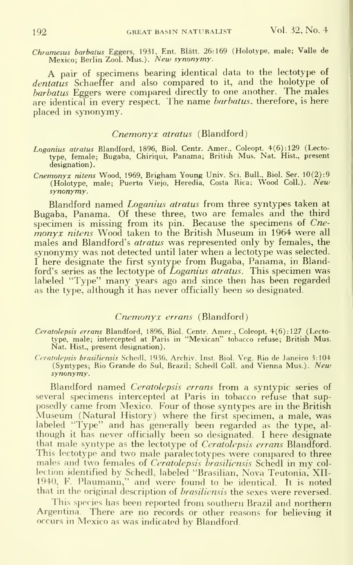Chramesus barbatus Eggers, 1931, Ent. Blatt. 26:169 (Holotype. male; Valle de Mexico; Berlin Zool. Mus.). New synonymy.

A pair of specimens bearing identical data to the lectotype of dentatus Schaeffer and also compared to it, and the holotype of barbatus Eggers were compared directly to one another. The males are identical in every respect. The name barbatus, therefore, is here placed in synonymy.

#### Cnemonyx atratus (Blandford)

- Lo*ganius atratus* Blandford, 1896, Biol. Centr. Amer., Coleopt. 4(6):129 (Lecto-<br>type, female; Bugaba, Chiriqui, Panama; British Mus. Nat. Hist., present designation).
- Cnemonyx nitens Wood, 1969, Brigham Young Univ. Sci. Bull., Biol. Ser. 10 (2): <sup>9</sup> (Holotype, male; Puerto Viejo, Heredia, Costa Rica; Wood Coll.). New synonymy.

Blandford named Loganius atratus from three syntypes taken at Bugaba, Panama. Of these three, two are females and the third specimen is missing from its pin. Because the specimens of Cne monyx nitens Wood taken to the British Museum in 1964 were all males and Blandford's atratus was represented only by females, the synonymy was not detected until later when <sup>a</sup> lectotype was selected. <sup>I</sup> here designate the first syntype from Bugaba, Panama, in Blandford's series as the lectotype of Loganius atratus. This specimen was labeled "Type" many years ago and since then has been regarded as the type, although it has never officially been so designated.

#### Cnemonyx errans (Blandford)

- Ceratolepsis errans Blandford, 1896, Biol. Centr. Amer., Coleopt. 4(6): 127 (Lecto-type, male; intercepted at Paris in "Mexican" tobacco refuse; British Mus. Nat. Hist., present designation).
- Cer*atolepsis brasiliensis S*chedl. 1936. Archiv. Inst. Biol. Veg. Rio de Janeiro 3:104<br>(Syntypes; Rio Grande do Sul, Brazil; Schedl Coll. and Vienna Mus.). *New* synonymy.

Blandford named *Ceratolepsis errans* from a syntypic series of several specimens intercepted at Paris in tobacco refuse that sup-<br>posedly came from Mexico. Four of those syntypes are in the British Museum (Natural History) where the first specimen, a male, was labeled "Type" and has generally been regarded as the type, al though it has never officially been so designated. I here designate that male syntype as the lectotype of Ceratolepsis errans Blandford. This lectotype and two male paralectotypes were compared to three males and two females of Ceratolepsis brasiliensis Schedl in my col lection identified by Schedl, labeled "Brasilian, Nova Teutonia, XII-1940, F. Plaumann," and were found to be identical. It is noted that in the original description of *brasiliensis* the sexes were reversed.

This species has been reported from southern Brazil and northern Argentina. There are no records or other reasons for believing it occurs in Mexico as was indicated by Blandford.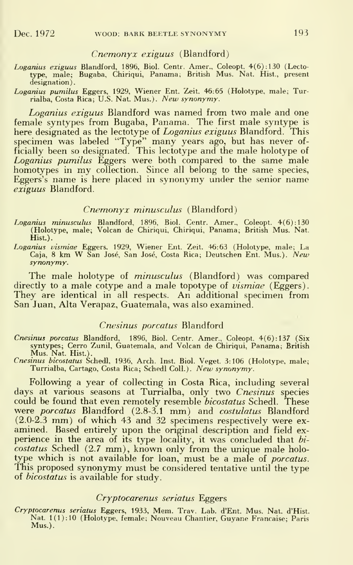#### Cnemonyx exiguus (Blandford)

*Loganius exiguus* Blandford, 1896, Biol. Centr. Amer., Coleopt. 4(6):130 (Lecto-<br>type, male; Bugaba, Chiriqui, Panama; British Mus. Nat. Hist., present designation).

Loganius pumilus Eggers, 1929, Wiener Ent. Zeit. 46:65 (Holotype, male; Tur-rialba, Costa Rica; U.S. Nat. Mus.). New synonymy.

Loganius exiguus Blandford was named from two male and one female syntypes from Bugaba, Panama. The first male syntype ishere designated as the lectotype of Loganius exiguus Blandford. This specimen was labeled "Type" many years ago, but has never officially been so designated. This lectotype and the male holotype of Loganius pumilus Eggers were both compared to the same male homotypes in my collection. Since all belong to the same species, Eggers's name is here placed in synonymy under the senior name exiguus Blandford.

#### Cnemonyx minusculus (Blandford)

- *Loganius minusculus* Blandford, 1896, Biol. Centr. Amer., Coleopt. 4(6):130<br>(Holotype, male; Volcan de Chiriqui, Chiriqui, Panama; British Mus. Nat. Hist.).
- Loganius vismiae Eggers. 1929, Wiener Ent. Zeit. 46:63 (Holotype, male; La Caja, <sup>8</sup> km W San Jose, San Jose, Costa Rica; Deutschen Ent. Mus.). New synonymy.

The male holotype of minusculus (Blandford) was compared directly to a male cotype and a male topotype of *vismiae* (Eggers). They are identical in all respects. An additional specimen from San Juan, Alta Verapaz, Guatemala, was also examined.

#### Cnesinus porcatus Blandford

Cnesinus porcatus Blandford, 1896, Biol. Centr. Amer., Coleopt. 4(6):137 (Six syntypes; Cerro Zunil, Guatemala, and Volcan de Chiriqui, Panama; British Mus. Nat. Hist.).<br>Mus. Nat. Hist.).<br>Cnesinus bicostatus Schedl, 1936,

Turrialba, Cartago, Costa Rica; Schedl Coll.). New synonymy.

Following a year of collecting in Costa Rica, including several days at various seasons at Turrialba, only two Cnesinus species could be found that even remotely resemble bicostatus Schedl. These were porcatus Blandford (2.8-3.1 mm) and costulatus Blandford (2.0-2.3 mm) of which 43 and <sup>32</sup> specimens respectively were ex amined. Based entirely upon the original description and field ex perience in the area of its type locality, it was concluded that *bi-costatus* Schedl (2.7 mm), known only from the unique male holotype which is not available for loan, must be <sup>a</sup> male of porcatus. This proposed synonymy must be considered tentative until the type of bicostatus is available for study.

#### Cryptocarenus seriatus Eggers

Cryptocarenus seriatus Eggers, 1933, Mem. Trav. Lab. d'Ent. Mus. Nat. d'Hist. Nat. 1(1): 10 (Holotype, female; Nouveau Chantier, Guyane Francaise; Paris Mus.).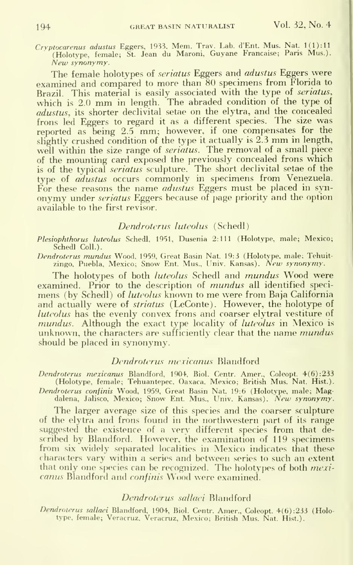Crrptocarenus adustus Eggers, 1933, Mem. Trav. Lab. d'Ent. Mus. Nat. 1(1): <sup>11</sup> (Holotype, female; St. Jean du Maroni, Guyane Francaise; Pans Mus.). New synonymy.

The female holotypes of seriatus Eggers and adustus Eggers were examined and compared to more than 80 specimens from Florida to Brazil. This material is easily associated with the type of seriatus, which is 2.0 mm in length. The abraded condition of the type of adustus, its shorter declivital setae on the elytra, and the concealed frons led Eggers to regard it as <sup>a</sup> different species. The size was reported as being 2.5 mm; however, if one compensates for the slightly crushed condition of the type itactually is 2.3 mm in length, well within the size range of *seriatus*. The removal of a small piece of the mounting card exposed the previously concealed frons which is of the typical *seriatus* sculpture. The short declivital setae of the type of *adustus* occurs commonly in specimens from Venezuela. For these reasons the name *adustus* Eggers must be placed in synonymy under seriatus Eggers because of page priority and the option available to the first revisor.

#### Dendroterus luteolus (Schedl)

Plesiophthorus luteolus Schedl. 1951, Dusenia 2:111 (Holotype, male; Mexico; Schedl Coll.).

Dendroterus mundus Wood, 1959, Great Basin Nat. 19:3 (Holotype. male; Tehuitzingo, Puebla, Mexico; Snow Ent. Mus., Univ. Kansas). New synonymy.

The holotypes of both *luteolus* Schedl and *mundus* Wood were examined. Prior to the description of mundus all identified speci mens (by Schedl) of *luteolus* known to me were from Baja California and actually were of *striatus* (LeConte). However, the holotype of luteolus has the evenly convex frons and coarser elytral vestiture of mundus. Although the exact type locality of *luteolus* in Mexico is unknown, the characters are sufficiently clear that the name *mundus* should be placed in synonymy.

#### Dendroterus mexicanus Blandford

Dendroterus mexicanus Blandford, 1904. Biol. Centr. Amer., Coleopt. 4(6):233 (Holotype, female; Tehuantepec, Oaxaca, Mexico; British Mus. Nat. Hist.). Dendroterus confinis Wood, 1959, Great Basin Nat. 19:6 (Holotype, male; Mag-

dalena, Jalisco, Mexico; Snow Ent. Mus., Univ. Kansas). New synonymy.

The larger average size of this species and the coarser sculpture of the elytra and frons found in the northwestern part of its range suggested the existence of a very different species from that de scribed by Blandford. However, the examination of 119 specimens from six widely separated localities in Mexico indicates that these characters vary within a series and between series to such an extent that only one species can be recognized. The holotypes of both mexicanus Blandford and confinis Wood were examined.

#### Dendroterus sallaei Blandford

Dendroterus sallaei Blandford, 1904, Biol. Centr. Amer., Coleopt. 4(6):233 (Holo-type. female; Veracruz, Veracruz. Mexico; British Mus. Nat. Hist.).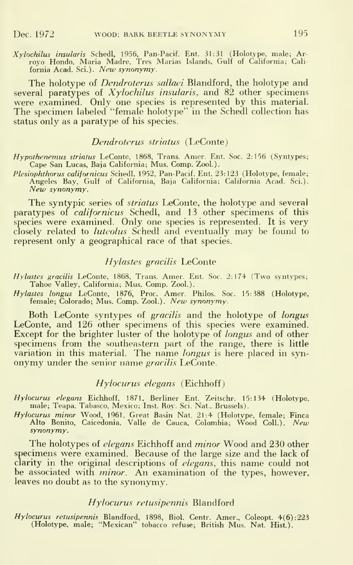Xylochilus insularis Schedl, 1956, Pan-Pacif. Ent. 31:31 (Holotype, male; Arroyo Hondo, María Madre, Tres Marías Islands, Gulf of California; Cali-<br>fornia Acad. Sci.). *New synonymy.* 

The holotype of *Dendroterus sallaei* Blandford, the holotype and several paratypes of *Xylochilus insularis*, and 82 other specimens were examined. Only one species is represented by this material. The specimen labeled "female holotype" in the Schedl collection has status only as a paratype of his species.

#### Dendroterus striatus (LeConte)

Hypothenemus striatus LeConte, 1868, Trans. Amer. Ent. Soc. 2:156 (Syntypes; Cape San Lucas, Baja California; Mus. Comp. Zool.).

Plesiophthorus californicus Schedl, 1952, Pan-Pacif. Ent. 23:123 (Holotype, female; Angeles Bay, Gulf of California, Baja California; California Acad. Sci.). New synonymy.

The syntypic series of *striatus* LeConte, the holotype and several paratypes of *californicus* Schedl, and 13 other specimens of this species were examined. Only one species is represented. It is very closely related to *luteolus* Schedl and eventually may be found to represent only a geographical race of that species.

#### Hylastes gracilis LeConte

Hylastes gracilis LeConte, 1868. Trans. Amer. Ent. Soc. 2:174 (Two syntypes; Tahoe Valley, California; Mus. Comp. Zool.).

Hylastes longus LeConte, 1876, Proc. Amer. Philos. Soc. 15:388 (Holotype, female; Colorado; Mus. Comp. Zool.). New synonymy.

Both LeConte syntypes of *gracilis* and the holotype of *longus*<br>LeConte, and 126 other specimens of this species were examined. Except for the brighter luster of the holotype of *longus* and of other specimens from the southeastern part of the range, there is little variation in this material. The name *longus* is here placed in syn-<br>onymy under the senior name *gracilis* LeConte.

#### Hylocurus elegans (Eichhoff)

- Hylocurus elegans Eichhoff, 1871, Berliner Ent. Zeitschr. 15:134 (Holotype, male; Teapa. Tabasco, Mexico; Inst. Roy. Sci. Nat.. Brussels).
- Hylocurus minor Wood, 1961, Great Basin Nat. 21:4 (Holotype, female; Finca Alto Bonito, Caicedonia. Valle de Cauca, Colombia; Wood Coll.). New synonymy.

The holotypes of *elegans* Eichhoff and *minor* Wood and 230 other specimens were examined. Because of the large size and the lack of clarity in the original descriptions of elegans, this name could not be associated with *minor*. An examination of the types, however, leaves no doubt as to the synonymy.

#### Hylocurus retusipennis Blandford

Hylocurus retusipennis Blandford, 1898, Biol. Centr. Amer., Coleopt. 4(6):223 (Holotype, male; "Mexican" tobacco refuse; British Mus. Nat. Hist.).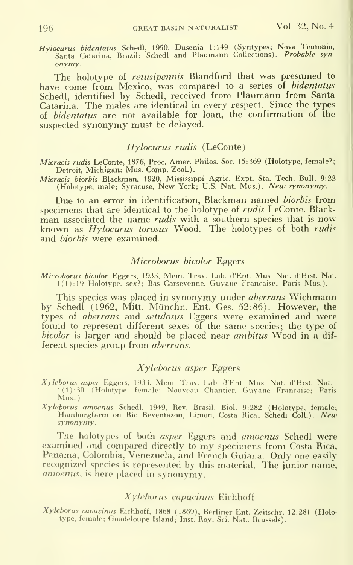Hylocurus bidentatus Schedl, 1950, Dusenia 1:149 (Syntypes; Nova Teutonia, Santa Catarina. Brazil; Schedl and Plaumann Collections). Probable syn onymy.

The holotype of *retusipennis* Blandford that was presumed to have come from Mexico, was compared to a series of *bidentatus*<br>Schedl, identified by Schedl, received from Plaumann from Santa Catarina. The males are identical in every respect. Since the types of bidentatus are not available for loan, the confirmation of the suspected synonymy must be delayed.

#### Hylocurus rudis (LeConte)

Micracis rudis LeConte, 1876, Proc. Amer. Philos. Soc. 15:369 (Holotype, female?; Detroit, Michigan; Mus. Comp. Zool.).

*Micracis biorbis* Blackman, 1920, Mississippi Agric. Expt. Sta. Tech. Bull. 9:22<br>(Holotype, male; Syracuse, New York; U.S. Nat. Mus.). *New synonymy*.

Due to an error in identification, Blackman named biorbis from specimens that are identical to the holotype of *rudis* LeConte. Blackman associated the name *rudis* with a southern species that is now known as Hylocurus torosus Wood. The holotypes of both rudis and biorbis were examined.

#### Microborus bicolor Eggers

Microborus bicolor Eggers, 1933, Mem. Trav. Lab. d'Ent. Mus. Nat. d'Hist. Nat. 1(1): 19 Holotype. sex?; Bas Carsevenne, Guyane Francaise; Paris Mus.).

This species was placed in synonymy under *aberrans* Wichmann by Schedl (1962, Mitt. Münchn. Ent. Ges. 52:86). However, the types of aberrans and setulosus Eggers were examined and were found to represent different sexes of the same species; the type of bicolor is larger and should be placed near ambitus Wood in a different species group from *aberrans*.

#### Xyleborus asper Eggers

- Xyleborus asper Eggers, 1933, Mem. Trav. Lab. d'Ent. Mus. Nat. d'Hist. Nat. 1(1):30 (Holotype, female; Nouveau Chantier, Guvane Francaise; Paris Mus..)
- Xyleborus amoenus Schedl, 1949. Rev. Brasil. Biol. 9:282 (Holotype, female; Hamburgfarm on Rio Reventazon, Limon, Costa Rica; Schedl Coll.). New synonymy.

The holotypes of both asper Eggers and amoenus Schedl were examined and compared directly to my specimens from Costa Rica, Panama, Colombia, Venezuela, and French Guiana. Only one easily recognized species is represented by this material. The junior name, amoenus, is here placed in synonymy.

#### Xyleborus capucinus Eichhoff

Xyleborus capucinus Eichhoff, 1868 (1869), Berliner Ent. Zeitschr. 12:281 (Holo-type, female; Guadeloupe Island; Inst. Roy. Sci. Nat.. Brussels).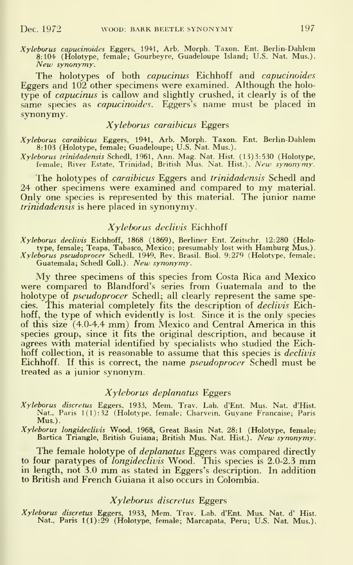Xyleborus capucinoides Eggers, 1941, Arb. Morph. Taxon. Ent. Berlin-Dahlem<br>8:104 (Holotype, female; Gourbeyre, Guadeloupe Island; U.S. Nat. Mus.).<br>New synonymy.

The holotypes of both *capucinus* Eichhoff and *capucinoides* Eggers and 102 other specimens were examined. Although the holo type of *capucinus* is callow and slightly crushed, it clearly is of the same species as *capucinoides*. Eggers's name must be placed in synonymy.

#### Xyleborus caraibicus Eggers

X*yleborus caraibicus* Eggers, 1941, Arb. Morph. Taxon. Ent. Berlin-Dahlem<br>8:103 (Holotype, female; Guadeloupe; U.S. Nat. Mus.).

Xyleborus trinidadensis Schedl, 1961, Ann. Mag. Nat. Hist. (13)3:530 (Holotype, female; River Estate, Trinidad; British Mus. Nat. Hist.). New synonymy.

The holotypes of *caraibicus* Eggers and *trinidadensis* Schedl and 24 other specimens were examined and compared to my material. Only one species is represented by this material. The junior name trinidadensis is here placed in synonymy.

#### Xyleborus declivis Eichhoff

Xyleborus declivis Eichhoff, 1868 (1869), Berliner Ent. Zeitschr. 12:280 (Holotype, female; Teapa, Tabasco, Mexico; presumably lost with Hamburg Mus.).<br>Xyleborus pseudoprocer Schedl, 1949, Rev. Brasil. Biol. 9:279 (Holotyp

My three specimens of this species from Costa Rica and Mexico were compared to Blandford's series from Guatemala and to the holotype of *pseudoprocer* Schedl; all clearly represent the same species. This material completely fits the description of declivis Eichhoff, the type of which evidently is lost. Since it is the only species of this size (4.0-4.4 mm) from Mexico and Central America in this species group, since it fits the original description, and because it agrees with material identified by specialists who studied the Eichhoff collection, it is reasonable to assume that this species is *declivis* Eichhoff. If this is correct, the name *pseudoprocer* Schedl must be treated as a junior synonym.

#### Xyleborus deplanatus Eggers

Xyleborus discretus Eggers. 1933, Mem. Trav. Lab. d'Ent. Mus. Nat. d'Hist. Nat., Paris 1(1): 32 (Holotype. female; Charvein, Guvane Francaise; Paris Mus.).

Xyleborus longideclivis Wood, 1968, Great Basin Nat. 28:1 (Holotype, female; Bartica Triangle, British Guiana; British Mus. Nat. Hist.). New synonymy.

The female holotype of *deplanatus* Eggers was compared directly to four paratypes of *longideclivis* Wood. This species is 2.0-2.3 mm in length, not 3.0 mm as stated in Eggers's description. In addition to British and French Guiana it also occurs in Colombia.

#### Xyleborus discretus Eggers

Xyleborus discretus Eggers, 1933, Mem. Trav. Lab. d'Ent. Mus. Nat. d' Hist. Nat.. Paris 1(1):29 (Holotype, female; Marcapata, Peru; U.S. Nat. Mus.).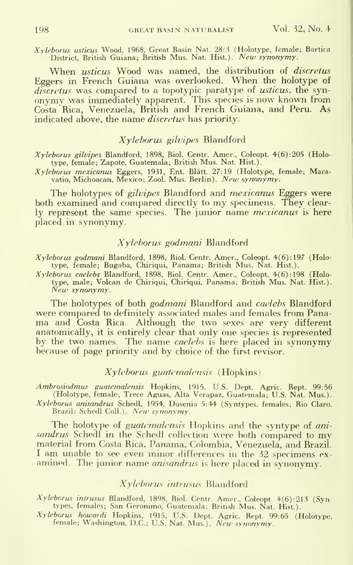Xyleborus usticus Wood, 1968, Great Basin Nat. 28:3 (Holotype. female; Bartica District, British Guiana; British Mus. Nat. Hist.). New synonymy.

When usticus Wood was named, the distribution of discretus Eggers in French Guiana was overlooked. When the holotype of discretus was compared to a topotypic paratype of usticus, the synonymy was immediately apparent. This species is now known from Costa Rica, Venezuela, British and French Guiana, and Peru. As indicated above, the name discretus has priority.

#### Xyleborus gilvipes Blandford

X*yleborus gilvipes* Blandford, 1898, Biol. Centr. Amer., Coleopt. 4(6):205 (Holo-<br>type, female; Zapote, Guatemala; British Mus. Nat. Hist.).

Xyleborus mexicanus Eggers, 1931, Ent. Blatt. 27:19 (Holotype, female; Maravatio, Michoacan. Mexico; Zool. Mus. Berlin). New synonymy.

The holotypes of gilvipes Blandford and *mexicanus* Eggers were both examined and compared directly to my specimens. They clearly represent the same species. The junior name *mexicanus* is here placed in synonymy.

#### Xyleborus godmani Blandford

Xyleborus godmani Blandford, 1898, Biol. Centr. Amer., Coleopt. 4(6): 197 (Holotype, female; Bugaba, Chiriqui. Panama; British Mus. Nat. Hist.).

Xyleborus caelebs Blandford, 1898, Biol. Centr. Amer., Coleopt. 4(6):198 (Holotype, male; Volcan de Chiriqui, Chiriqui, Panama; British Mus. Nat. Hist.).<br>New synonymy.

The holotypes of both *godmani* Blandford and *caelebs* Blandford were compared to definitely associated males and females from Panama and Costa Rica. Although the two sexes are very different anatomically, it is entirely clear that only one species is represented by the two names. The name *caelebs* is here placed in synonymy because of page priority and by choice of the first revisor.

#### Xyleborus guatemalensis (Hopkins)

A*mbrosiodmus guatemalensis* Hopkins, 1915, U.S. Dept. Agric. Rept. 99:56<br>(Holotype, female; Trece Aguas, Alta Verapaz, Guatemala; U.S. Nat. Mus.). Xyleborus anisandrus Schedl, 1954, Dusenia 5:44 (Syntypes. females; Rio Claro. Brazil; Schedl Coll.). New synonymy.

The holotype of *guatemalensis* Hopkins and the syntype of *ani*sandrus Schedl in the Schedl collection were both compared to my material from Costa Rica, Panama, Colombia, Venezuela, and Brazil. <sup>I</sup> am unable to see even minor differences in the 32 specimens ex amined. The junior name *anisandrus* is here placed in synonymy.

#### Xyleborus intrusus Blandford

Xyleborus intrusus Blandford, 1898. Biol. Centr. Amer., Coleopt. 4(6):213 (Syntypes, females; San Geronimo, Guatemala; British Mus. Nat. Hist.).

Xyleborus howardi Hopkins, 1915, U.S. Dept. Agric. Rept. 99:65 (Holotype, female; Washington, D.C.; U.S. Nat. Mus.). *New synonymy*.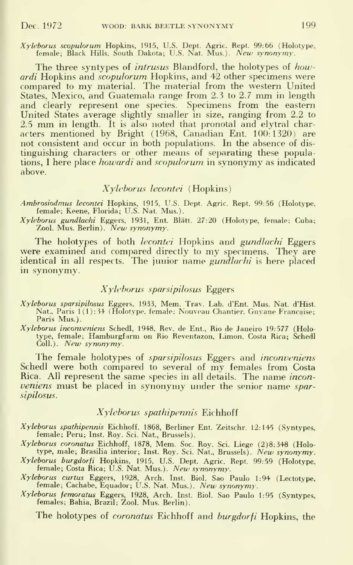Xyleborus scopulorum Hopkins, 1915, U.S. Dept. Agric. Rept. 99:66 (Holotype, female; Black Hills, South Dakota; U.S. Nat. Mus.). New synonymy.

**I** The three syntypes of *intrusus* Blandford, the holotypes of *how*ardi Hopkins and scopulorum Hopkins, and 42 other specimens were compared to my material. The material from the western United States, Mexico, and Guatemala range from 2.3 to 2.7 mm in length and clearly represent one species. Specimens from the eastern United States average slightly smaller in size, ranging from 2.2 to 2.5 mm in length. It is also noted that pronotal and elytral characters mentioned by Bright (1968, Canadian Ent. 100:1320) are not consistent and occur in both populations. In the absence of dis tinguishing characters or other means of separating these populations, <sup>I</sup> here place howardi and scopulorum in synonymy as indicated above.

#### Xyleborus lecontei (Hopkins)

Ambrosiodmus lecontei Hopkins, 1915, U.S. Dept. Agric. Rept. 99:56 (Holotype. female; Keene, Florida; U.S. Nat. Mus.).

Xyleborus gundlachi Eggers, 1931, Ent. Blatt. 27:20 (Holotype, female; Cuba; Zool. Mus. Berlin). New synonymy.

The holotypes of both *lecontei* Hopkins and *gundlachi* Eggers were examined and compared directly to my specimens. They are identical in all respects. The junior name *gundlachi* is here placed in synonymy.

#### Xyleborus sparsipilosus Eggers

- Xyleborus sparsipilosus Eggers, 1933, Mem. Trav. Lab. d'Ent. Mus. Nat. d'Hist. Nat., Paris  $1(1)$ : 34 (Holotype. female; Nouveau Chantier. Guyane Francaise; Paris Mus.).
- Xyleborus inconveniens Schedl, 1948, Rev. de Ent., Rio de Janeiro 19:577 (Holotype, female; Hamburgfarm on Rio Reventazon, Limon, Costa Rica; Schedl Coll.). New synonymy.

The female holotypes of *sparsipilosus* Eggers and *inconveniens* Schedl were both compared to several of my females from Costa Rica. All represent the same species in all details. The name *incon*veniens must be placed in synonymy under the senior name sparsipilosus.

#### Xyleborus spathipennis Eichhoff

Xyleborus spathipennis Eichhoff, 1868, Berliner Ent. Zeitschr. 12:145 (Syntypes, female; Peru; Inst. Roy. Sci. Nat., Brussels).

Xyleborus coronatus Eichhoff, 1878, Mem. Soc. Roy. Sci. Liege (2)8:348 (Holo-type, male; Brasilia interior; Inst. Roy. Sci. Nat., Brussels). New synonymy.

Xyleborus burgdorfi Hopkins, 1915, U.S. Dept. Agric. Rept. 99:59 (Holotype, female; Costa Rica; U.S. Nat. Mus.). New synonymy.

Xyleborus curtus Eggers, 1928, Arch. Inst. Biol. Sao Paulo 1:94 (Lectotype, female; Cachabe, Equador; U.S. Nat. Mus.). *New synonymy*.

Xyleborus femoratus Eggers, 1928, Arch. Inst. Biol. Sao Paulo 1:95 (Syntypes, females; Bahia, Brazil; Zool. Mus. Berlin).

The holotypes of *coronatus* Eichhoff and *burgdorfi* Hopkins, the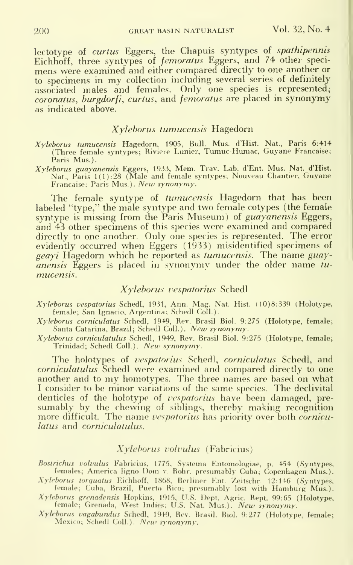lectotype of *curtus* Eggers, the Chapuis syntypes of *spathipennis* Eichhoff, three syntypes of *femoratus* Eggers, and 74 other specimens were examined and either compared directly to one another or to specimens in my collection including several series of definitely associated males and females. Only one species is represented;<br>*coronatus, burgdorfi, curtus,* and *femoratus* are placed in synonymy as indicated above.

#### Xyleborus tumucensis Hagedorn

- Xyleborus tumucensis Hagedorn, 1905, Bull. Mus. d'Hist. Nat., Paris 6:414 (Three female syntypes; Riviere Lunier. Tumuc-Humac, Guyane Francaise; Paris Mus.).
- Xyleborus guayanensis Eggers, 1933, Mem. Trav. Lab. d'Ent. Mus. Nat. d'Hist. Nat., Paris 1(1):28 (Male and female syntypes; Nouveau Chantier, Guyane ) ||<br>Francaise; Paris Mus.)*. New synonymy.*

The female syntype of *tumucensis* Hagedorn that has been labeled "type," the male syntype and two female cotypes (the female syntype is missing from the Paris Museum) of guayanensis Eggers, and 43 other specimens of this species were examined and compared directly to one another. Only one species is represented. The error evidently occurred when Eggers (1933) misidentified specimens of g*eayi* Hagedorn which he reported as tumucensis. The name guay-<br>anensis Eggers is placed in synonymy under the older name tumucensis.

#### Xyleborus respatorius Schedl

- Xyleborus vespatorius Schedl. 1931, Ann. Mag. Nat. Hist. (10)8:339 (Holotype. female; San Ignacio, Argentina; Schedl Coll.).
- Xyleborus corniculatus Schedl, 1949, Rev. Brasil Biol. 9:275 (Holotype, female; Santa Catarina, Brazil; Schedl Coll.). New synonymy.
- Xyleborus corniculatulus Schedl, 1949, Rev. Brasil Biol. 9:275 (Holotype, female; Trinidad; Schedl Coll.). New synonymy.

The holotypes of vespatorius Schedl, corniculatus Schedl, and corniculatulus Schedl were examined and compared directly to one another and to my homotypes. The three names are based on what <sup>I</sup> consider to be minor variations of the same species. The declivital denticles of the holotype of *vespatorius* have been damaged, presumably by the chewing of siblings, thereby making recognition more difficult. The name vespatorius has priority over both corniculatus and corniculatulus.

#### Xyleborus volvulus (Fabricius)

Bostrichus volvulus Fabricius, 1775, Systema Entomologiae, p. 454 (Syntypes, females; America ligno Dom v. Rohr. presumably Cuba; Copenhagen Mus.).

- Xyleborus torquatus Eichhoff, 1868, Berliner Ent. Zeitschr. 12:146 (Syntypes, female; Cuba, Brazil, Puerto Rico; presumably lost with Hamburg Mus.).
- Xyleborus grenadensis Hopkins, 1915, U.S. Dept. Agric. Rept. 99:65 (Holotype, female; Grenada, West Indies; U.S. Nat. Mus.). New synonymy.
- Xyleborus vagabundus Schedl, 1949, Rev. Brasil. Biol. 9:277 (Holotype, female; Mexico; Schedl Coll.). New synonymy.